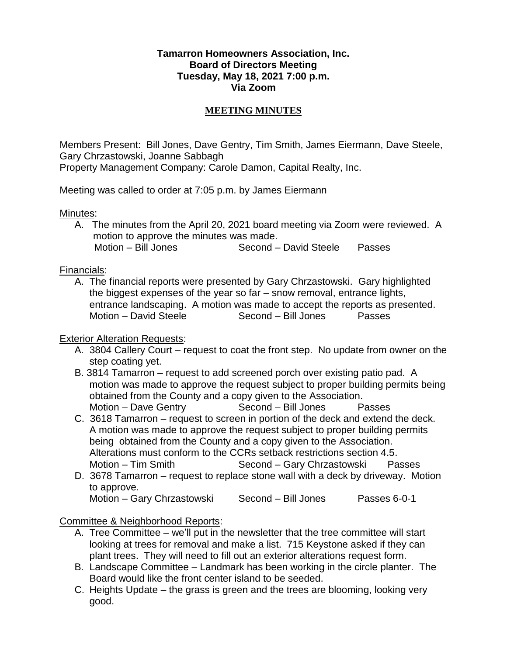## **Tamarron Homeowners Association, Inc. Board of Directors Meeting Tuesday, May 18, 2021 7:00 p.m. Via Zoom**

## **MEETING MINUTES**

Members Present: Bill Jones, Dave Gentry, Tim Smith, James Eiermann, Dave Steele, Gary Chrzastowski, Joanne Sabbagh Property Management Company: Carole Damon, Capital Realty, Inc.

Meeting was called to order at 7:05 p.m. by James Eiermann

Minutes:

A. The minutes from the April 20, 2021 board meeting via Zoom were reviewed. A motion to approve the minutes was made.<br>Motion – Bill Jones Second – Second – David Steele Passes

Financials:

A. The financial reports were presented by Gary Chrzastowski. Gary highlighted the biggest expenses of the year so far – snow removal, entrance lights, entrance landscaping. A motion was made to accept the reports as presented. Motion – David Steele Second – Bill Jones Passes

## Exterior Alteration Requests:

- A. 3804 Callery Court request to coat the front step. No update from owner on the step coating yet.
- B. 3814 Tamarron request to add screened porch over existing patio pad. A motion was made to approve the request subject to proper building permits being obtained from the County and a copy given to the Association. Motion – Dave Gentry Second – Bill Jones Passes
- C. 3618 Tamarron request to screen in portion of the deck and extend the deck. A motion was made to approve the request subject to proper building permits being obtained from the County and a copy given to the Association. Alterations must conform to the CCRs setback restrictions section 4.5. Motion – Tim Smith Second – Gary Chrzastowski Passes
- D. 3678 Tamarron request to replace stone wall with a deck by driveway. Motion to approve.

Motion – Gary Chrzastowski Second – Bill Jones Passes 6-0-1

Committee & Neighborhood Reports:

- A. Tree Committee we'll put in the newsletter that the tree committee will start looking at trees for removal and make a list. 715 Keystone asked if they can plant trees. They will need to fill out an exterior alterations request form.
- B. Landscape Committee Landmark has been working in the circle planter. The Board would like the front center island to be seeded.
- C. Heights Update the grass is green and the trees are blooming, looking very good.